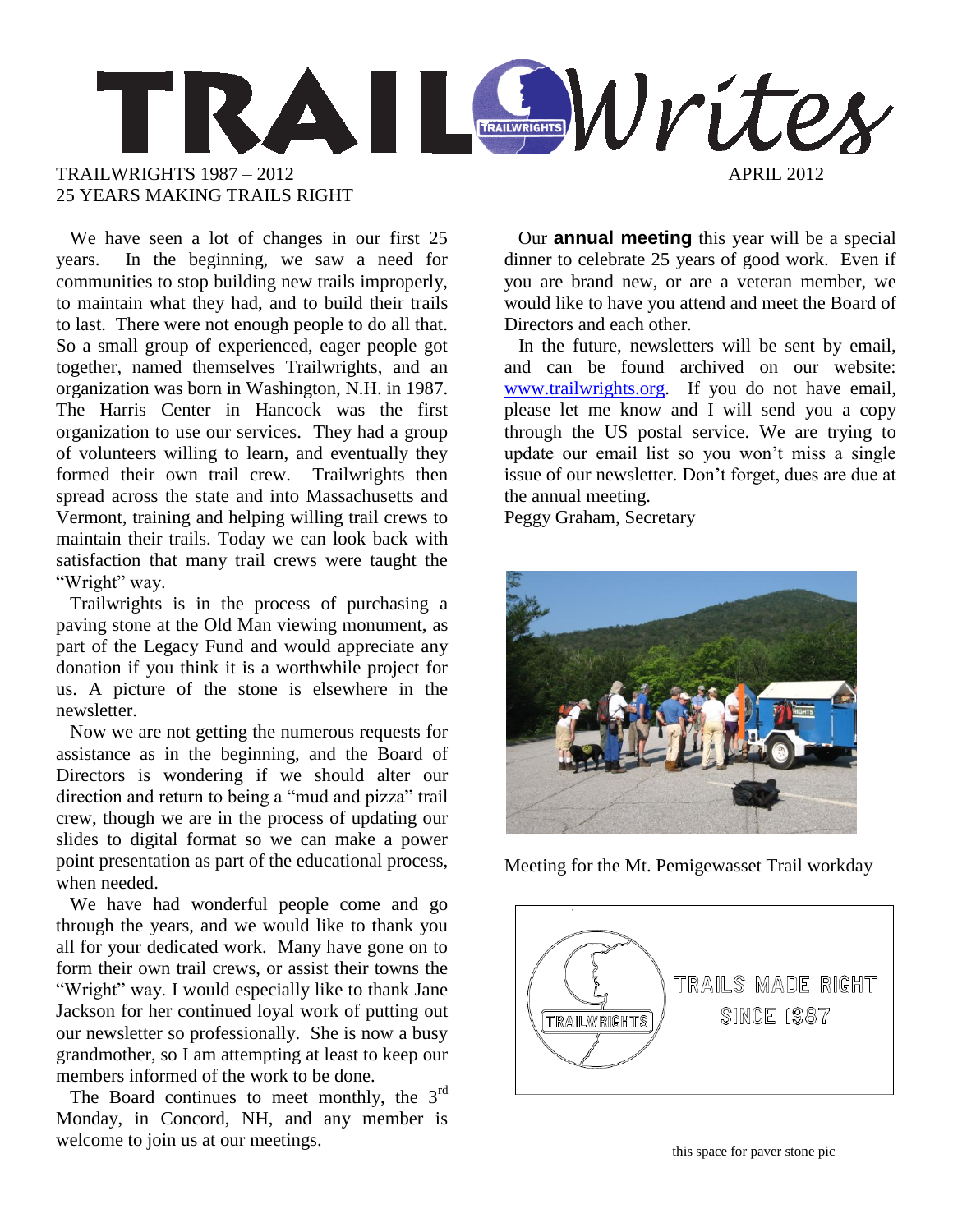

 We have seen a lot of changes in our first 25 years. In the beginning, we saw a need for communities to stop building new trails improperly, to maintain what they had, and to build their trails to last. There were not enough people to do all that. So a small group of experienced, eager people got together, named themselves Trailwrights, and an organization was born in Washington, N.H. in 1987. The Harris Center in Hancock was the first organization to use our services. They had a group of volunteers willing to learn, and eventually they formed their own trail crew. Trailwrights then spread across the state and into Massachusetts and Vermont, training and helping willing trail crews to maintain their trails. Today we can look back with satisfaction that many trail crews were taught the "Wright" way.

 Trailwrights is in the process of purchasing a paving stone at the Old Man viewing monument, as part of the Legacy Fund and would appreciate any donation if you think it is a worthwhile project for us. A picture of the stone is elsewhere in the newsletter.

 Now we are not getting the numerous requests for assistance as in the beginning, and the Board of Directors is wondering if we should alter our direction and return to being a "mud and pizza" trail crew, though we are in the process of updating our slides to digital format so we can make a power point presentation as part of the educational process, when needed.

 We have had wonderful people come and go through the years, and we would like to thank you all for your dedicated work. Many have gone on to form their own trail crews, or assist their towns the "Wright" way. I would especially like to thank Jane Jackson for her continued loyal work of putting out our newsletter so professionally. She is now a busy grandmother, so I am attempting at least to keep our members informed of the work to be done.

The Board continues to meet monthly, the  $3<sup>rd</sup>$ Monday, in Concord, NH, and any member is welcome to join us at our meetings.

 Our **annual meeting** this year will be a special dinner to celebrate 25 years of good work. Even if you are brand new, or are a veteran member, we would like to have you attend and meet the Board of Directors and each other.

 In the future, newsletters will be sent by email, and can be found archived on our website: [www.trailwrights.org.](http://www.trailwrights.org/) If you do not have email, please let me know and I will send you a copy through the US postal service. We are trying to update our email list so you won't miss a single issue of our newsletter. Don't forget, dues are due at the annual meeting.

Peggy Graham, Secretary



Meeting for the Mt. Pemigewasset Trail workday

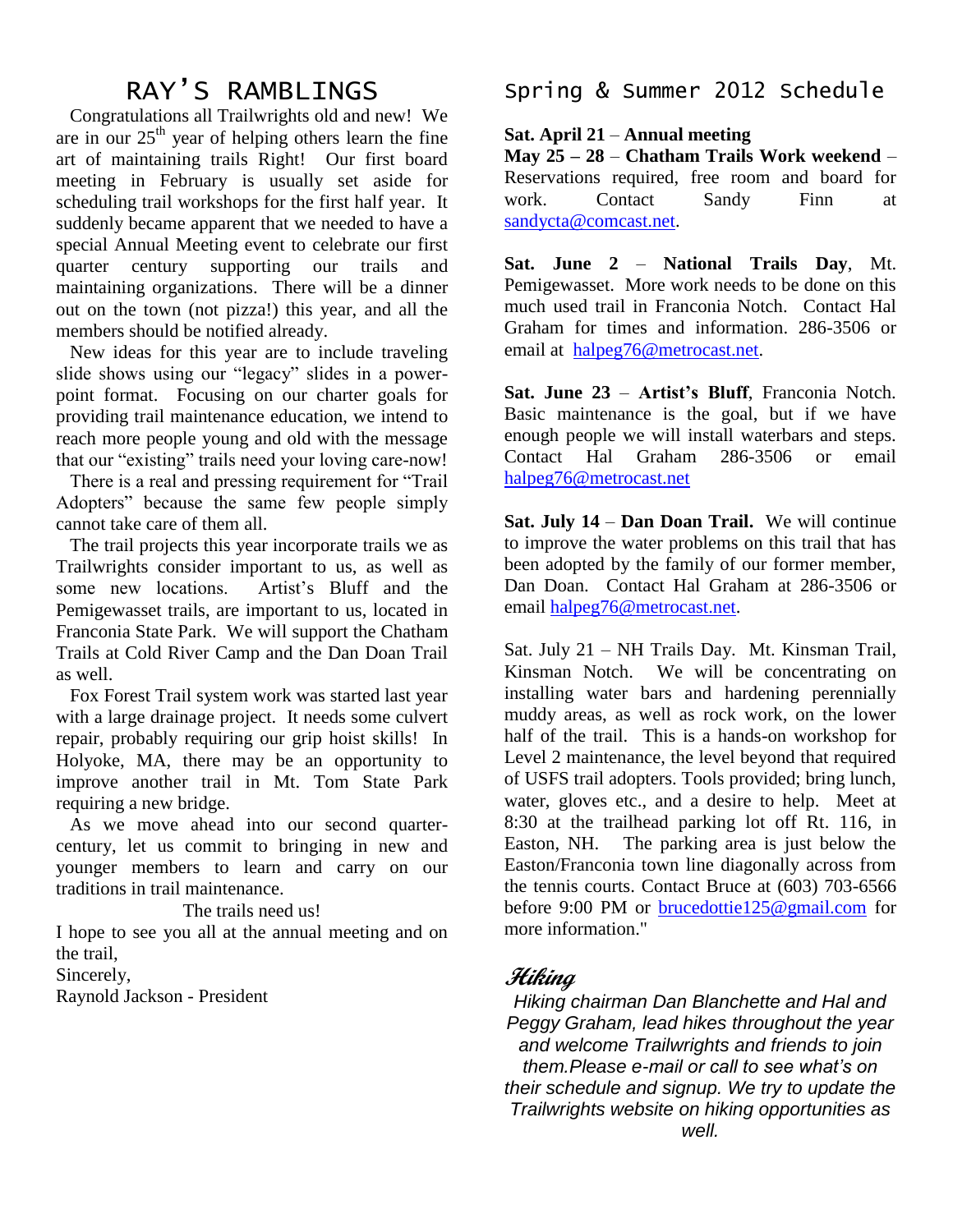# RAY'S RAMBLINGS

 Congratulations all Trailwrights old and new! We are in our  $25<sup>th</sup>$  year of helping others learn the fine art of maintaining trails Right! Our first board meeting in February is usually set aside for scheduling trail workshops for the first half year. It suddenly became apparent that we needed to have a special Annual Meeting event to celebrate our first quarter century supporting our trails and maintaining organizations. There will be a dinner out on the town (not pizza!) this year, and all the members should be notified already.

 New ideas for this year are to include traveling slide shows using our "legacy" slides in a powerpoint format. Focusing on our charter goals for providing trail maintenance education, we intend to reach more people young and old with the message that our "existing" trails need your loving care-now!

 There is a real and pressing requirement for "Trail Adopters" because the same few people simply cannot take care of them all.

 The trail projects this year incorporate trails we as Trailwrights consider important to us, as well as some new locations. Artist's Bluff and the Pemigewasset trails, are important to us, located in Franconia State Park. We will support the Chatham Trails at Cold River Camp and the Dan Doan Trail as well.

 Fox Forest Trail system work was started last year with a large drainage project. It needs some culvert repair, probably requiring our grip hoist skills! In Holyoke, MA, there may be an opportunity to improve another trail in Mt. Tom State Park requiring a new bridge.

 As we move ahead into our second quartercentury, let us commit to bringing in new and younger members to learn and carry on our traditions in trail maintenance.

The trails need us!

I hope to see you all at the annual meeting and on the trail,

Sincerely,

Raynold Jackson - President

Spring & Summer 2012 Schedule

### **Sat. April 21** – **Annual meeting**

**May 25 – 28** – **Chatham Trails Work weekend** – Reservations required, free room and board for work. Contact Sandy Finn at [sandycta@comcast.net.](mailto:sandycta@comcast.net)

**Sat. June 2** – **National Trails Day**, Mt. Pemigewasset. More work needs to be done on this much used trail in Franconia Notch. Contact Hal Graham for times and information. 286-3506 or email at [halpeg76@metrocast.net.](mailto:halpeg76@metrocast.net)

**Sat. June 23** – **Artist's Bluff**, Franconia Notch. Basic maintenance is the goal, but if we have enough people we will install waterbars and steps. Contact Hal Graham 286-3506 or email [halpeg76@metrocast.net](mailto:halpeg76@metrocast.net)

**Sat. July 14** – **Dan Doan Trail.** We will continue to improve the water problems on this trail that has been adopted by the family of our former member, Dan Doan. Contact Hal Graham at 286-3506 or email [halpeg76@metrocast.net.](mailto:halpeg76@metrocast.net)

Sat. July 21 – NH Trails Day. Mt. Kinsman Trail, Kinsman Notch. We will be concentrating on installing water bars and hardening perennially muddy areas, as well as rock work, on the lower half of the trail. This is a hands-on workshop for Level 2 maintenance, the level beyond that required of USFS trail adopters. Tools provided; bring lunch, water, gloves etc., and a desire to help. Meet at 8:30 at the trailhead parking lot off Rt. 116, in Easton, NH. The parking area is just below the Easton/Franconia town line diagonally across from the tennis courts. Contact Bruce at (603) 703-6566 before 9:00 PM or [brucedottie125@gmail.com](mailto:brucedottie125@gmail.com) for more information."

## **Hiking**

*Hiking chairman Dan Blanchette and Hal and Peggy Graham, lead hikes throughout the year and welcome Trailwrights and friends to join them.Please e-mail or call to see what's on their schedule and signup. We try to update the Trailwrights website on hiking opportunities as well.*